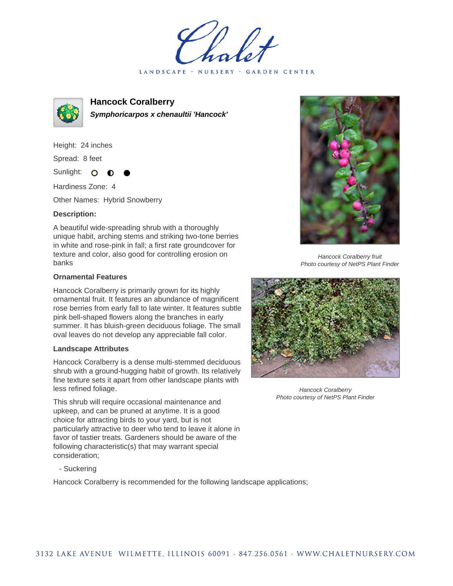LANDSCAPE · NURSERY · GARDEN CENTER



**Hancock Coralberry Symphoricarpos x chenaultii 'Hancock'**

Height: 24 inches Spread: 8 feet Sunlight: O

Hardiness Zone: 4

Other Names: Hybrid Snowberry

## **Description:**

A beautiful wide-spreading shrub with a thoroughly unique habit, arching stems and striking two-tone berries in white and rose-pink in fall; a first rate groundcover for texture and color, also good for controlling erosion on banks

## **Ornamental Features**

Hancock Coralberry is primarily grown for its highly ornamental fruit. It features an abundance of magnificent rose berries from early fall to late winter. It features subtle pink bell-shaped flowers along the branches in early summer. It has bluish-green deciduous foliage. The small oval leaves do not develop any appreciable fall color.

## **Landscape Attributes**

Hancock Coralberry is a dense multi-stemmed deciduous shrub with a ground-hugging habit of growth. Its relatively fine texture sets it apart from other landscape plants with less refined foliage.

This shrub will require occasional maintenance and upkeep, and can be pruned at anytime. It is a good choice for attracting birds to your yard, but is not particularly attractive to deer who tend to leave it alone in favor of tastier treats. Gardeners should be aware of the following characteristic(s) that may warrant special consideration;

- Suckering

Hancock Coralberry is recommended for the following landscape applications;



Hancock Coralberry fruit Photo courtesy of NetPS Plant Finder



Hancock Coralberry Photo courtesy of NetPS Plant Finder